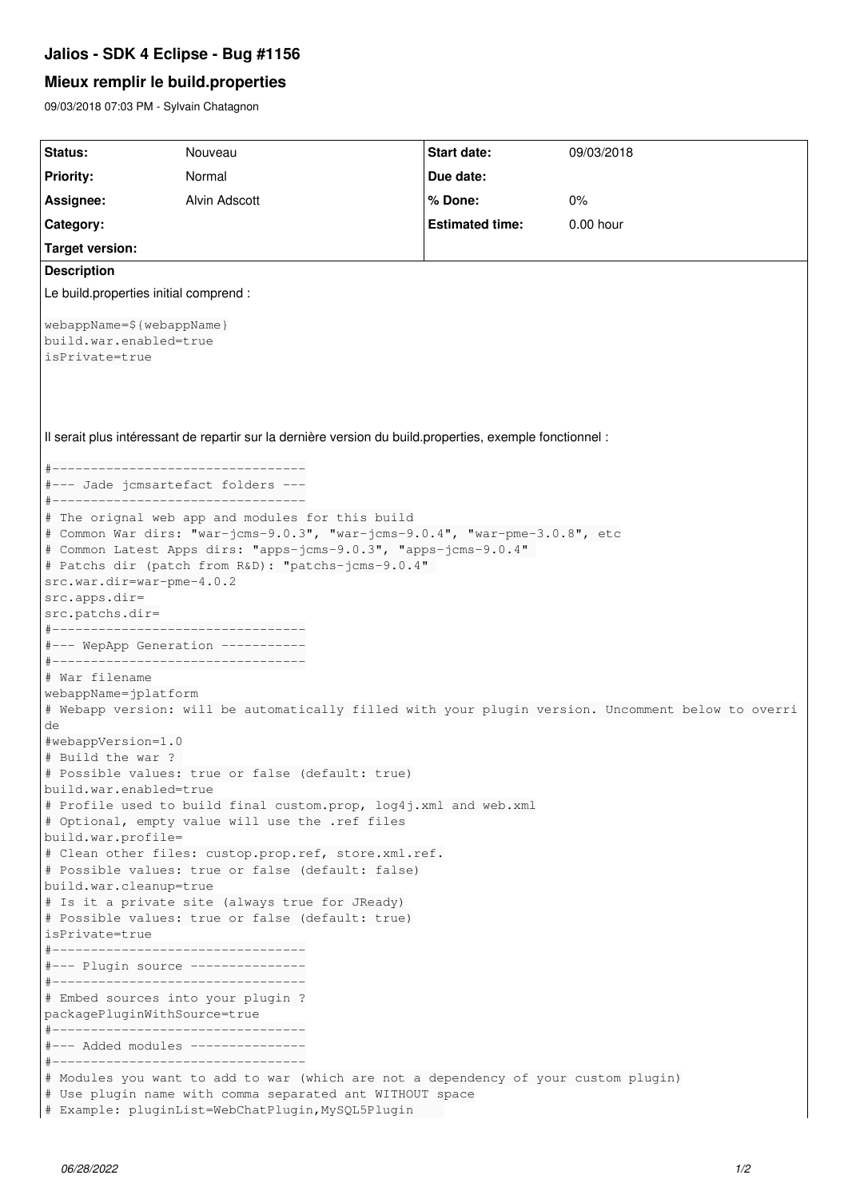## **Jalios - SDK 4 Eclipse - Bug #1156**

## **Mieux remplir le build.properties**

09/03/2018 07:03 PM - Sylvain Chatagnon

| Status:                                                                                                   | Nouveau                                                                                                                                                                                                                                                                                         | <b>Start date:</b>     | 09/03/2018 |  |  |  |
|-----------------------------------------------------------------------------------------------------------|-------------------------------------------------------------------------------------------------------------------------------------------------------------------------------------------------------------------------------------------------------------------------------------------------|------------------------|------------|--|--|--|
| <b>Priority:</b>                                                                                          | Normal                                                                                                                                                                                                                                                                                          | Due date:              |            |  |  |  |
| Assignee:                                                                                                 | Alvin Adscott                                                                                                                                                                                                                                                                                   | % Done:                | 0%         |  |  |  |
|                                                                                                           |                                                                                                                                                                                                                                                                                                 |                        |            |  |  |  |
| Category:                                                                                                 |                                                                                                                                                                                                                                                                                                 | <b>Estimated time:</b> | 0.00 hour  |  |  |  |
| <b>Target version:</b>                                                                                    |                                                                                                                                                                                                                                                                                                 |                        |            |  |  |  |
| <b>Description</b>                                                                                        |                                                                                                                                                                                                                                                                                                 |                        |            |  |  |  |
| Le build.properties initial comprend :                                                                    |                                                                                                                                                                                                                                                                                                 |                        |            |  |  |  |
| webappName=\${webappName}<br>build.war.enabled=true<br>isPrivate=true                                     |                                                                                                                                                                                                                                                                                                 |                        |            |  |  |  |
| Il serait plus intéressant de repartir sur la dernière version du build properties, exemple fonctionnel : |                                                                                                                                                                                                                                                                                                 |                        |            |  |  |  |
| #----------------------------------                                                                       |                                                                                                                                                                                                                                                                                                 |                        |            |  |  |  |
|                                                                                                           | #--- Jade jcmsartefact folders ---<br>#----------------------------------                                                                                                                                                                                                                       |                        |            |  |  |  |
| src.war.dir=war-pme-4.0.2<br>src.apps.dir=<br>src.patchs.dir=                                             | # The orignal web app and modules for this build<br># Common War dirs: "war-jcms-9.0.3", "war-jcms-9.0.4", "war-pme-3.0.8", etc<br># Common Latest Apps dirs: "apps-jcms-9.0.3", "apps-jcms-9.0.4"<br># Patchs dir (patch from R&D): "patchs-jcms-9.0.4"<br>#---------------------------------- |                        |            |  |  |  |
|                                                                                                           | #--- WepApp Generation -----------                                                                                                                                                                                                                                                              |                        |            |  |  |  |
|                                                                                                           | #----------------------------------                                                                                                                                                                                                                                                             |                        |            |  |  |  |
| # War filename                                                                                            |                                                                                                                                                                                                                                                                                                 |                        |            |  |  |  |
| webappName=jplatform                                                                                      | # Webapp version: will be automatically filled with your plugin version. Uncomment below to overri                                                                                                                                                                                              |                        |            |  |  |  |
| de                                                                                                        |                                                                                                                                                                                                                                                                                                 |                        |            |  |  |  |
| #webappVersion=1.0                                                                                        |                                                                                                                                                                                                                                                                                                 |                        |            |  |  |  |
| # Build the war ?                                                                                         |                                                                                                                                                                                                                                                                                                 |                        |            |  |  |  |
|                                                                                                           | # Possible values: true or false (default: true)                                                                                                                                                                                                                                                |                        |            |  |  |  |
| build.war.enabled=true                                                                                    | # Profile used to build final custom.prop, log4j.xml and web.xml                                                                                                                                                                                                                                |                        |            |  |  |  |
| build.war.profile=                                                                                        | # Optional, empty value will use the .ref files                                                                                                                                                                                                                                                 |                        |            |  |  |  |
|                                                                                                           | # Clean other files: custop.prop.ref, store.xml.ref.                                                                                                                                                                                                                                            |                        |            |  |  |  |
| build.war.cleanup=true                                                                                    | # Possible values: true or false (default: false)                                                                                                                                                                                                                                               |                        |            |  |  |  |
|                                                                                                           | # Is it a private site (always true for JReady)                                                                                                                                                                                                                                                 |                        |            |  |  |  |
|                                                                                                           | # Possible values: true or false (default: true)                                                                                                                                                                                                                                                |                        |            |  |  |  |
| isPrivate=true                                                                                            |                                                                                                                                                                                                                                                                                                 |                        |            |  |  |  |
|                                                                                                           | #--------------------------------                                                                                                                                                                                                                                                               |                        |            |  |  |  |
|                                                                                                           | #--- Plugin source ---------------<br>#----------------------------------                                                                                                                                                                                                                       |                        |            |  |  |  |
|                                                                                                           | # Embed sources into your plugin ?                                                                                                                                                                                                                                                              |                        |            |  |  |  |
| packagePluginWithSource=true                                                                              |                                                                                                                                                                                                                                                                                                 |                        |            |  |  |  |
| #----------------------------------                                                                       |                                                                                                                                                                                                                                                                                                 |                        |            |  |  |  |
|                                                                                                           | #--- Added modules ---------------<br>#----------------------------------                                                                                                                                                                                                                       |                        |            |  |  |  |
|                                                                                                           | # Modules you want to add to war (which are not a dependency of your custom plugin)<br># Use plugin name with comma separated ant WITHOUT space<br># Example: pluginList=WebChatPlugin, MySQL5Plugin                                                                                            |                        |            |  |  |  |